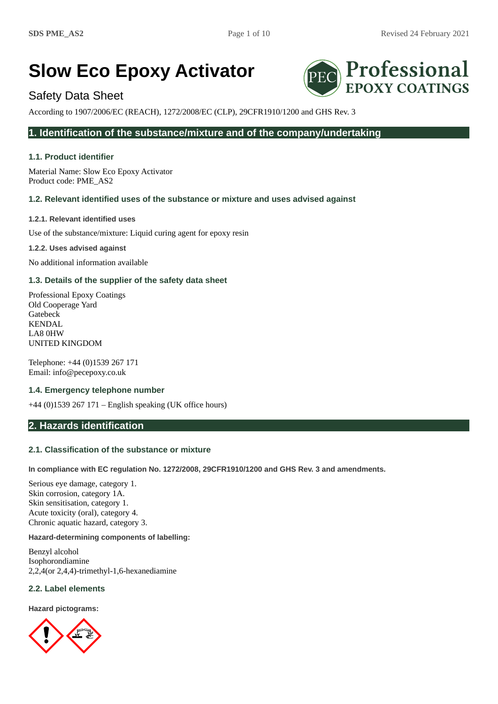Professional

**EPOXY COATINGS** 

# **Slow Eco Epoxy Activator**

# Safety Data Sheet

According to 1907/2006/EC (REACH), 1272/2008/EC (CLP), 29CFR1910/1200 and GHS Rev. 3

# **1. Identification of the substance/mixture and of the company/undertaking**

# **1.1. Product identifier**

Material Name: Slow Eco Epoxy Activator Product code: PME\_AS2

# **1.2. Relevant identified uses of the substance or mixture and uses advised against**

**1.2.1. Relevant identified uses**

Use of the substance/mixture: Liquid curing agent for epoxy resin

**1.2.2. Uses advised against**

No additional information available

# **1.3. Details of the supplier of the safety data sheet**

Professional Epoxy Coatings Old Cooperage Yard Gatebeck KENDAL LA8 0HW UNITED KINGDOM

Telephone: +44 (0)1539 267 171 Email: info@pecepoxy.co.uk

### **1.4. Emergency telephone number**

+44 (0)1539 267 171 – English speaking (UK office hours)

# **2. Hazards identification**

### **2.1. Classification of the substance or mixture**

**In compliance with EC regulation No. 1272/2008, 29CFR1910/1200 and GHS Rev. 3 and amendments.**

Serious eye damage, category 1. Skin corrosion, category 1A. Skin sensitisation, category 1. Acute toxicity (oral), category 4. Chronic aquatic hazard, category 3.

### **Hazard-determining components of labelling:**

Benzyl alcohol Isophorondiamine 2,2,4(or 2,4,4)-trimethyl-1,6-hexanediamine

### **2.2. Label elements**

**Hazard pictograms:**

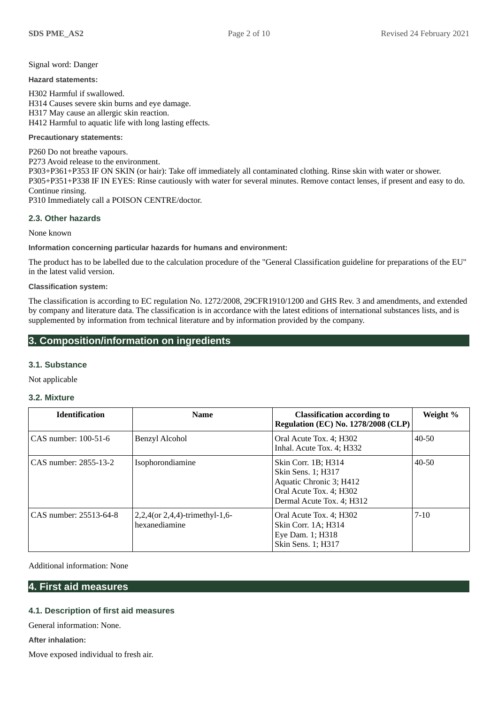### Signal word: Danger

**Hazard statements:**

H302 Harmful if swallowed. H314 Causes severe skin burns and eye damage. H317 May cause an allergic skin reaction. H412 Harmful to aquatic life with long lasting effects.

### **Precautionary statements:**

P260 Do not breathe vapours. P273 Avoid release to the environment. P303+P361+P353 IF ON SKIN (or hair): Take off immediately all contaminated clothing. Rinse skin with water or shower. P305+P351+P338 IF IN EYES: Rinse cautiously with water for several minutes. Remove contact lenses, if present and easy to do. Continue rinsing. P310 Immediately call a POISON CENTRE/doctor.

## **2.3. Other hazards**

None known

**Information concerning particular hazards for humans and environment:**

The product has to be labelled due to the calculation procedure of the "General Classification guideline for preparations of the EU" in the latest valid version.

### **Classification system:**

The classification is according to EC regulation No. 1272/2008, 29CFR1910/1200 and GHS Rev. 3 and amendments, and extended by company and literature data. The classification is in accordance with the latest editions of international substances lists, and is supplemented by information from technical literature and by information provided by the company.

# **3. Composition/information on ingredients**

### **3.1. Substance**

Not applicable

# **3.2. Mixture**

| <b>Identification</b>  | <b>Name</b>                                     | <b>Classification according to</b><br><b>Regulation (EC) No. 1278/2008 (CLP)</b>                                             | Weight %  |
|------------------------|-------------------------------------------------|------------------------------------------------------------------------------------------------------------------------------|-----------|
| CAS number: 100-51-6   | <b>Benzyl Alcohol</b>                           | Oral Acute Tox. 4; H302<br>Inhal. Acute Tox. 4; H332                                                                         | 40-50     |
| CAS number: 2855-13-2  | Isophorondiamine                                | Skin Corr. 1B; H314<br>Skin Sens. 1; H317<br>Aquatic Chronic 3; H412<br>Oral Acute Tox. 4; H302<br>Dermal Acute Tox. 4; H312 | $40 - 50$ |
| CAS number: 25513-64-8 | 2,2,4(or 2,4,4)-trimethyl-1,6-<br>hexanediamine | Oral Acute Tox. 4; H302<br>Skin Corr. 1A; H314<br>Eye Dam. 1; H318<br>Skin Sens. 1; H317                                     | $7-10$    |

Additional information: None

### **4. First aid measures**

# **4.1. Description of first aid measures**

General information: None.

**After inhalation:**

Move exposed individual to fresh air.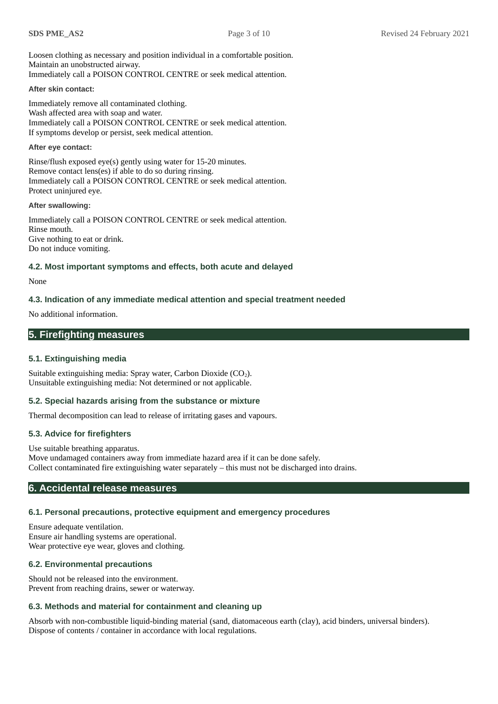Loosen clothing as necessary and position individual in a comfortable position. Maintain an unobstructed airway. Immediately call a POISON CONTROL CENTRE or seek medical attention.

### **After skin contact:**

Immediately remove all contaminated clothing. Wash affected area with soap and water. Immediately call a POISON CONTROL CENTRE or seek medical attention. If symptoms develop or persist, seek medical attention.

### **After eye contact:**

Rinse/flush exposed eye(s) gently using water for 15-20 minutes. Remove contact lens(es) if able to do so during rinsing. Immediately call a POISON CONTROL CENTRE or seek medical attention. Protect uninjured eye.

### **After swallowing:**

Immediately call a POISON CONTROL CENTRE or seek medical attention. Rinse mouth. Give nothing to eat or drink. Do not induce vomiting.

# **4.2. Most important symptoms and effects, both acute and delayed**

### None

# **4.3. Indication of any immediate medical attention and special treatment needed**

No additional information.

# **5. Firefighting measures**

### **5.1. Extinguishing media**

Suitable extinguishing media: Spray water, Carbon Dioxide  $(CO<sub>2</sub>)$ . Unsuitable extinguishing media: Not determined or not applicable.

### **5.2. Special hazards arising from the substance or mixture**

Thermal decomposition can lead to release of irritating gases and vapours.

# **5.3. Advice for firefighters**

Use suitable breathing apparatus. Move undamaged containers away from immediate hazard area if it can be done safely. Collect contaminated fire extinguishing water separately – this must not be discharged into drains.

# **6. Accidental release measures**

# **6.1. Personal precautions, protective equipment and emergency procedures**

Ensure adequate ventilation. Ensure air handling systems are operational. Wear protective eye wear, gloves and clothing.

### **6.2. Environmental precautions**

Should not be released into the environment. Prevent from reaching drains, sewer or waterway.

# **6.3. Methods and material for containment and cleaning up**

Absorb with non-combustible liquid-binding material (sand, diatomaceous earth (clay), acid binders, universal binders). Dispose of contents / container in accordance with local regulations.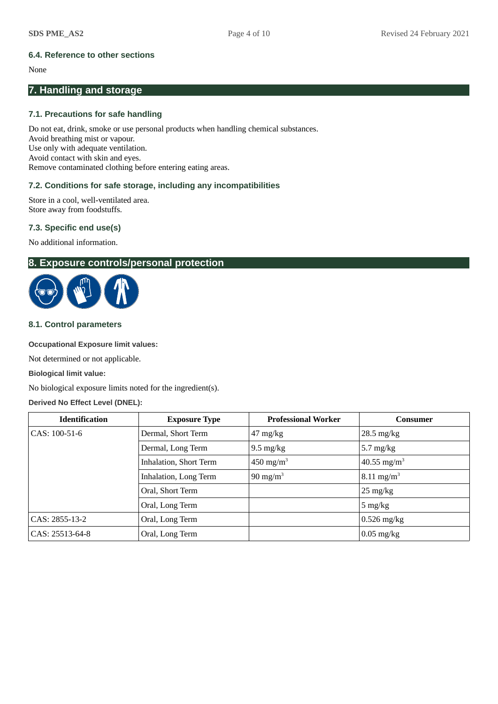# **6.4. Reference to other sections**

### None

# **7. Handling and storage**

# **7.1. Precautions for safe handling**

Do not eat, drink, smoke or use personal products when handling chemical substances. Avoid breathing mist or vapour. Use only with adequate ventilation. Avoid contact with skin and eyes. Remove contaminated clothing before entering eating areas.

# **7.2. Conditions for safe storage, including any incompatibilities**

Store in a cool, well-ventilated area. Store away from foodstuffs.

# **7.3. Specific end use(s)**

No additional information.

# **8. Exposure controls/personal protection**



# **8.1. Control parameters**

### **Occupational Exposure limit values:**

Not determined or not applicable.

### **Biological limit value:**

No biological exposure limits noted for the ingredient(s).

### **Derived No Effect Level (DNEL):**

| <b>Identification</b> | <b>Exposure Type</b>   | <b>Professional Worker</b>       | Consumer                |
|-----------------------|------------------------|----------------------------------|-------------------------|
| CAS: 100-51-6         | Dermal, Short Term     | $47 \frac{\text{mg}}{\text{kg}}$ | $28.5$ mg/kg            |
|                       | Dermal, Long Term      | $9.5 \text{ mg/kg}$              | 5.7 mg/ $kg$            |
|                       | Inhalation, Short Term | 450 mg/m <sup>3</sup>            | 40.55 mg/m <sup>3</sup> |
|                       | Inhalation, Long Term  | 90 mg/m $3$                      | $8.11 \text{ mg/m}^3$   |
|                       | Oral, Short Term       |                                  | $25 \text{ mg/kg}$      |
|                       | Oral, Long Term        |                                  | $5 \text{ mg/kg}$       |
| CAS: 2855-13-2        | Oral, Long Term        |                                  | $0.526$ mg/kg           |
| CAS: 25513-64-8       | Oral, Long Term        |                                  | $0.05$ mg/kg            |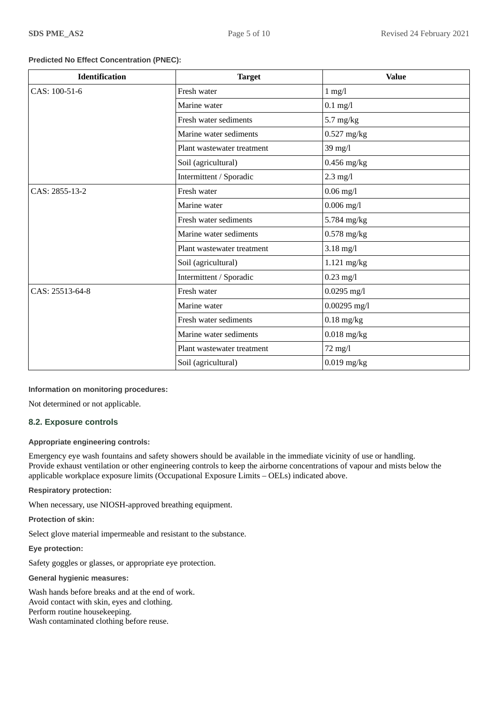### **Predicted No Effect Concentration (PNEC):**

| <b>Identification</b> | <b>Target</b>              | <b>Value</b>             |
|-----------------------|----------------------------|--------------------------|
| CAS: 100-51-6         | Fresh water                | $1$ mg/l                 |
|                       | Marine water               | $0.1$ mg/l               |
|                       | Fresh water sediments      | $5.7$ mg/kg              |
|                       | Marine water sediments     | $0.527$ mg/kg            |
|                       | Plant wastewater treatment | 39 mg/l                  |
|                       | Soil (agricultural)        | $0.456$ mg/kg            |
|                       | Intermittent / Sporadic    | $2.3$ mg/l               |
| CAS: 2855-13-2        | Fresh water                | $0.06$ mg/l              |
|                       | Marine water               | $0.006$ mg/l             |
|                       | Fresh water sediments      | 5.784 mg/kg              |
|                       | Marine water sediments     | $0.578$ mg/kg            |
|                       | Plant wastewater treatment | $3.18$ mg/l              |
|                       | Soil (agricultural)        | $1.121$ mg/kg            |
|                       | Intermittent / Sporadic    | $0.23$ mg/l              |
| CAS: 25513-64-8       | Fresh water                | $0.0295$ mg/l            |
|                       | Marine water               | $0.00295$ mg/l           |
|                       | Fresh water sediments      | $0.18$ mg/kg             |
|                       | Marine water sediments     | $0.018$ mg/kg            |
|                       | Plant wastewater treatment | 72 mg/l                  |
|                       | Soil (agricultural)        | $0.019 \ \mathrm{mg/kg}$ |

### **Information on monitoring procedures:**

Not determined or not applicable.

### **8.2. Exposure controls**

### **Appropriate engineering controls:**

Emergency eye wash fountains and safety showers should be available in the immediate vicinity of use or handling. Provide exhaust ventilation or other engineering controls to keep the airborne concentrations of vapour and mists below the applicable workplace exposure limits (Occupational Exposure Limits – OELs) indicated above.

**Respiratory protection:**

When necessary, use NIOSH-approved breathing equipment.

**Protection of skin:**

Select glove material impermeable and resistant to the substance.

**Eye protection:**

Safety goggles or glasses, or appropriate eye protection.

**General hygienic measures:**

Wash hands before breaks and at the end of work. Avoid contact with skin, eyes and clothing. Perform routine housekeeping. Wash contaminated clothing before reuse.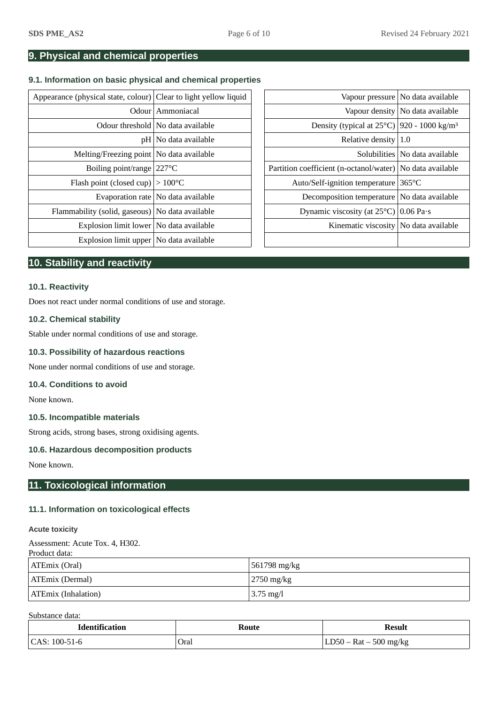# **9. Physical and chemical properties**

# **9.1. Information on basic physical and chemical properties**

| Appearance (physical state, colour) Clear to light yellow liquid |                                      |                                                                    | Vapour pressure   No data available |
|------------------------------------------------------------------|--------------------------------------|--------------------------------------------------------------------|-------------------------------------|
|                                                                  | Odour   Ammoniacal                   |                                                                    | Vapour density No data available    |
|                                                                  | Odour threshold   No data available  | Density (typical at $25^{\circ}$ C)   920 - 1000 kg/m <sup>3</sup> |                                     |
|                                                                  | $pH $ No data available              | Relative density $1.0$                                             |                                     |
| Melting/Freezing point   No data available                       |                                      |                                                                    | Solubilities   No data available    |
| Boiling point/range 227 °C                                       |                                      | Partition coefficient (n-octanol/water)   No data available        |                                     |
| Flash point (closed cup) $ >100^{\circ}$ C                       |                                      | Auto/Self-ignition temperature 365°C                               |                                     |
|                                                                  | Evaporation rate   No data available | Decomposition temperature   No data available                      |                                     |
| Flammability (solid, gaseous) No data available                  |                                      | Dynamic viscosity (at $25^{\circ}$ C) 0.06 Pa $\cdot$ s            |                                     |
| Explosion limit lower   No data available                        |                                      | Kinematic viscosity No data available                              |                                     |
| Explosion limit upper   No data available                        |                                      |                                                                    |                                     |
|                                                                  |                                      |                                                                    |                                     |

|                                              | (physical state, colour) Clear to light yellow liquid |                                                                    | Vapour pressure   No data available |
|----------------------------------------------|-------------------------------------------------------|--------------------------------------------------------------------|-------------------------------------|
|                                              | Odour Ammoniacal                                      |                                                                    | Vapour density   No data available  |
|                                              | Odour threshold   No data available                   | Density (typical at $25^{\circ}$ C)   920 - 1000 kg/m <sup>3</sup> |                                     |
|                                              | pH   No data available                                | Relative density $ 1.0$                                            |                                     |
| Melting/Freezing point   No data available   |                                                       |                                                                    | Solubilities   No data available    |
| Boiling point/range $ 227^{\circ}$ C         |                                                       | Partition coefficient (n-octanol/water)   No data available        |                                     |
| Elash point (closed cup) $ >100^{\circ}$ C   |                                                       | Auto/Self-ignition temperature 365°C                               |                                     |
|                                              | Evaporation rate   No data available                  | Decomposition temperature   No data available                      |                                     |
| ability (solid, gaseous)   No data available |                                                       | Dynamic viscosity (at $25^{\circ}$ C)   0.06 Pa·s                  |                                     |
| Explosion limit lower   No data available    |                                                       | Kinematic viscosity   No data available                            |                                     |
| Explosion limit upper   No data available    |                                                       |                                                                    |                                     |

# **10. Stability and reactivity**

### **10.1. Reactivity**

Does not react under normal conditions of use and storage.

### **10.2. Chemical stability**

Stable under normal conditions of use and storage.

### **10.3. Possibility of hazardous reactions**

None under normal conditions of use and storage.

### **10.4. Conditions to avoid**

None known.

### **10.5. Incompatible materials**

Strong acids, strong bases, strong oxidising agents.

### **10.6. Hazardous decomposition products**

None known.

# **11. Toxicological information**

### **11.1. Information on toxicological effects**

### **Acute toxicity**

Assessment: Acute Tox. 4, H302.

| Product data:              |                     |
|----------------------------|---------------------|
| ATEmix (Oral)              | 561798 mg/kg        |
| ATEmix (Dermal)            | $2750$ mg/kg        |
| <b>ATEmix (Inhalation)</b> | $3.75 \text{ mg}/l$ |

Substance data:

| <b>Identification</b> | Route | Result                 |
|-----------------------|-------|------------------------|
| $ CAS: 100-51-6$      | Oral  | $500$ mg/kg<br>$Rat -$ |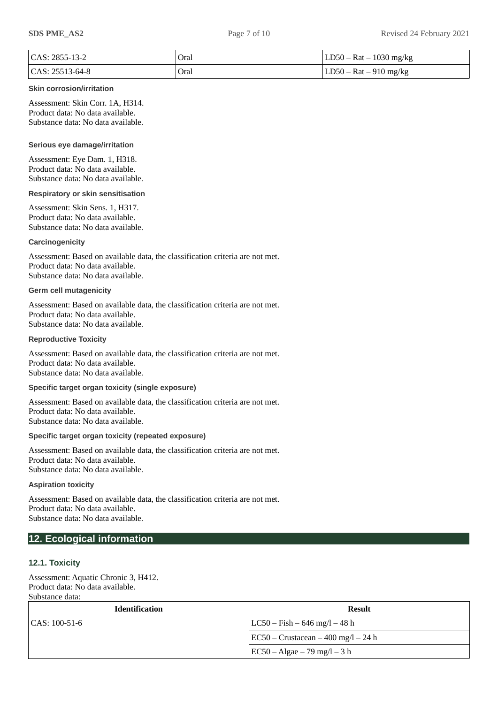| $ CAS: 2855-13-2$  | Oral | $ LD50 - Rat - 1030 mg/kg$ |
|--------------------|------|----------------------------|
| $ CAS: 25513-64-8$ | Oral | $ LD50 - Rat - 910$ mg/kg  |

### **Skin corrosion/irritation**

Assessment: Skin Corr. 1A, H314. Product data: No data available. Substance data: No data available.

### **Serious eye damage/irritation**

Assessment: Eye Dam. 1, H318. Product data: No data available. Substance data: No data available.

### **Respiratory or skin sensitisation**

Assessment: Skin Sens. 1, H317. Product data: No data available. Substance data: No data available.

### **Carcinogenicity**

Assessment: Based on available data, the classification criteria are not met. Product data: No data available. Substance data: No data available.

### **Germ cell mutagenicity**

Assessment: Based on available data, the classification criteria are not met. Product data: No data available. Substance data: No data available.

### **Reproductive Toxicity**

Assessment: Based on available data, the classification criteria are not met. Product data: No data available. Substance data: No data available.

## **Specific target organ toxicity (single exposure)**

Assessment: Based on available data, the classification criteria are not met. Product data: No data available. Substance data: No data available.

### **Specific target organ toxicity (repeated exposure)**

Assessment: Based on available data, the classification criteria are not met. Product data: No data available. Substance data: No data available.

### **Aspiration toxicity**

Assessment: Based on available data, the classification criteria are not met. Product data: No data available. Substance data: No data available.

# **12. Ecological information**

### **12.1. Toxicity**

Assessment: Aquatic Chronic 3, H412. Product data: No data available. Substance data:

| <b>Identification</b> | Result                                      |
|-----------------------|---------------------------------------------|
| $CAS: 100-51-6$       | $ LC50 - Fish - 646 mg/1 - 48 h$            |
|                       | $\vert$ EC50 – Crustacean – 400 mg/l – 24 h |
|                       | $ EC50 - Algae - 79 mg/l - 3 h$             |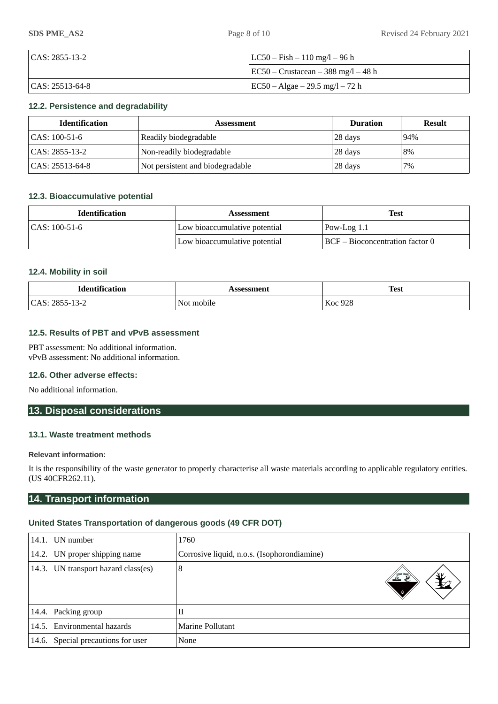| $ CAS: 2855-13-2$  | $ LC50 - Fish - 110 mg/1 - 96 h $           |  |
|--------------------|---------------------------------------------|--|
|                    | $\vert$ EC50 – Crustacean – 388 mg/l – 48 h |  |
| $ CAS: 25513-64-8$ | EC50 – Algae – 29.5 mg/l – 72 h             |  |

# **12.2. Persistence and degradability**

| <b>Identification</b> | Assessment                       | <b>Duration</b> | <b>Result</b> |
|-----------------------|----------------------------------|-----------------|---------------|
| $ CAS: 100-51-6$      | Readily biodegradable            | 28 days         | $94\%$        |
| CAS: 2855-13-2        | Non-readily biodegradable        | 28 days         | 8%            |
| CAS: 25513-64-8       | Not persistent and biodegradable | 28 days         | 7%            |

### **12.3. Bioaccumulative potential**

| <b>Identification</b> | <b>Assessment</b>             | <b>Test</b>                     |
|-----------------------|-------------------------------|---------------------------------|
| $  CAS: 100-51-6$     | Low bioaccumulative potential | $Pow-Log 1.1$                   |
|                       | Low bioaccumulative potential | BCF – Bioconcentration factor 0 |

### **12.4. Mobility in soil**

| <b>Identification</b>                            | sessment   | <b>Test</b>    |
|--------------------------------------------------|------------|----------------|
| $\Gamma$ $\Delta$ S $\cdot$<br>2855-13-2<br>unu. | Not mobile | <b>Koc 928</b> |

### **12.5. Results of PBT and vPvB assessment**

PBT assessment: No additional information. vPvB assessment: No additional information.

### **12.6. Other adverse effects:**

No additional information.

# **13. Disposal considerations**

# **13.1. Waste treatment methods**

### **Relevant information:**

It is the responsibility of the waste generator to properly characterise all waste materials according to applicable regulatory entities. (US 40CFR262.11).

# **14. Transport information**

### **United States Transportation of dangerous goods (49 CFR DOT)**

|       | 14.1. UN number                    | 1760                                        |
|-------|------------------------------------|---------------------------------------------|
|       | 14.2. UN proper shipping name      | Corrosive liquid, n.o.s. (Isophorondiamine) |
| 14.3. | UN transport hazard class(es)      | 8<br>ᆇ                                      |
|       | 14.4. Packing group                | П                                           |
|       | 14.5. Environmental hazards        | Marine Pollutant                            |
|       | 14.6. Special precautions for user | None                                        |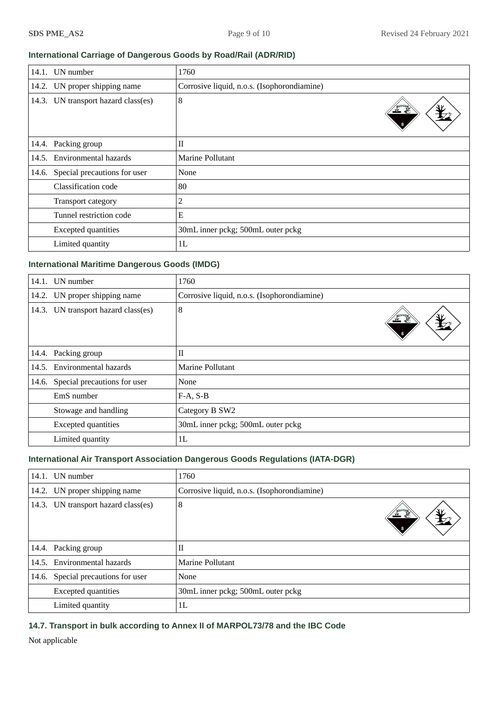# **International Carriage of Dangerous Goods by Road/Rail (ADR/RID)**

| 14.1. | UN number                     | 1760                                        |
|-------|-------------------------------|---------------------------------------------|
|       | 14.2. UN proper shipping name | Corrosive liquid, n.o.s. (Isophorondiamine) |
| 14.3. | UN transport hazard class(es) | 8<br>灭死                                     |
|       | 14.4. Packing group           | $\rm II$                                    |
| 14.5. | Environmental hazards         | Marine Pollutant                            |
| 14.6. | Special precautions for user  | None                                        |
|       | Classification code           | 80                                          |
|       | Transport category            | 2                                           |
|       | Tunnel restriction code       | E                                           |
|       | <b>Excepted quantities</b>    | 30mL inner pckg; 500mL outer pckg           |
|       | Limited quantity              | 1L                                          |

# **International Maritime Dangerous Goods (IMDG)**

| 14.1. | UN number                     | 1760                                        |
|-------|-------------------------------|---------------------------------------------|
|       | 14.2. UN proper shipping name | Corrosive liquid, n.o.s. (Isophorondiamine) |
| 14.3. | UN transport hazard class(es) | 8                                           |
|       | 14.4. Packing group           | $\rm II$                                    |
|       | 14.5. Environmental hazards   | Marine Pollutant                            |
| 14.6. | Special precautions for user  | None                                        |
|       | EmS number                    | $F-A, S-B$                                  |
|       | Stowage and handling          | Category B SW2                              |
|       | <b>Excepted quantities</b>    | 30mL inner pckg; 500mL outer pckg           |
|       | Limited quantity              | 1L                                          |

# **International Air Transport Association Dangerous Goods Regulations (IATA-DGR)**

|       | 14.1. UN number                     | 1760                                        |
|-------|-------------------------------------|---------------------------------------------|
|       | 14.2. UN proper shipping name       | Corrosive liquid, n.o.s. (Isophorondiamine) |
|       | 14.3. UN transport hazard class(es) | 8                                           |
|       | 14.4. Packing group                 | Π                                           |
|       | 14.5. Environmental hazards         | Marine Pollutant                            |
| 14.6. | Special precautions for user        | <b>None</b>                                 |
|       | <b>Excepted quantities</b>          | 30mL inner pckg; 500mL outer pckg           |
|       | Limited quantity                    | 1L                                          |

**14.7. Transport in bulk according to Annex II of MARPOL73/78 and the IBC Code**

Not applicable